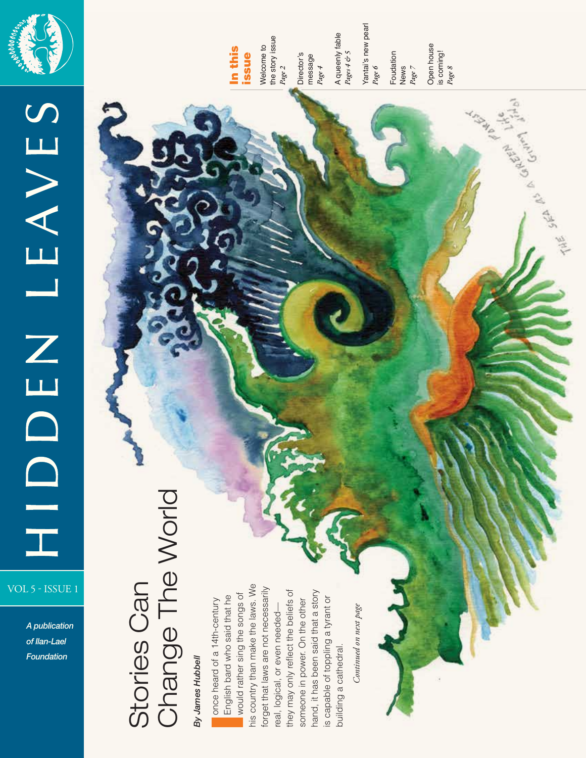

# HIDENLEAVES VOL 5 - ISSUE 1

*A publication of Ilan-Lael Foundation*

# In this issue

Welcome to the story issue Welcome to<br>the story issue<br>*Page 2* Director's Director's<br>message<br>*Page* 4

message

A queenly fable A queenly fable<br>*Pages 4 & 5* Yantai's new pearl

*Page 6* Foudation News *Page 7* 

Open house Open house is coming! *Page 8*

GREEN I

Stories Can<br>Change The World Change The World By James Hubbell *By James Hubbell* 

Stories Can

his country than make the laws. We his country than make the laws. We forget that laws are not necessarily forget that laws are not necessarily they may only reflect the beliefs of hand, it has been said that a story they may only reflect the beliefs of hand, it has been said that a story Ionce heard of a 14th-century English bard who said that he would rather sing the songs of is capable of toppling a tyrant or someone in power. On the other is capable of toppling a tyrant or someone in power. On the other real, logical, or even needed real, logical, or even neededbuilding a cathedral. building a cathedral.

Continued on next page *Continued on next page*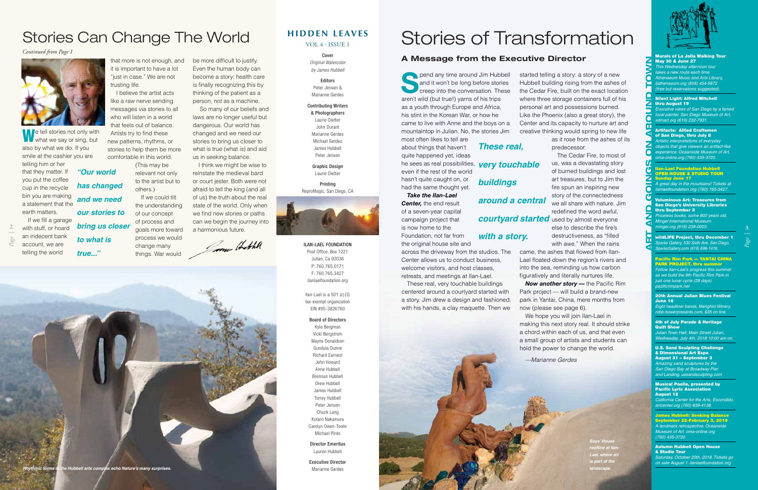#### **HIDDEN LEAVES**

VOL 4 - ISSUE 1

Cover *Original Watercolor by James Hubbell* 

#### **Editors** Peter Jensen & Marianne Gerdes

#### Contributing Writers

& Photographers Laurie Dietter John Durant Marianne Gerdes Michael Gerdes James Hubbell Peter Jensen

Graphic Design Laurie Dietter

Printing ReproMagic, San Diego, CA



ILAN-LAEL FOUNDATION Post Office. Box 1221 Julian, Ca 92036 P: 760.765.0171 F: 760.765.3427 ilanlaelfoundation.org

Ilan-Lael is a 501 (c) (3) tax-exempt organization EIN #95-3826760

#### Board of Directors

Kyle Bergman Vicki Bergstrom Wayne Donaldson Gundula Dunne Richard Earnest John Howard Anne Hubbell Brennan Hubbell Drew Hubbell James Hubbell Torrey Hubbell Peter Jensen Chuck Lang Kotaro Nakamura Carolyn Owen-Towle Michael Pinto

Director Emeritus

Lauren Hubbell

Executive Director

Marianne Gerdes

that more is not enough, and it is important to have a lot "just in case." We are not trusting life.

**We tell stories not only with what we say or sing, but** also by what we do. If you smile at the cashier you are telling him or her that they matter. If you put the coffee cup in the recycle bin you are making a statement that the earth matters. If we fill a garage *"Our world has changed and we need our stories to bring us closer* 

I believe the artist acts like a raw nerve sending messages via stories to all who will listen in a world that feels out of balance. Artists try to find these new patterns, rhythms, or stories to help them be more

**S**pend any time around Jim Hubbell and it won't be long before stories creep into the conversation. These aren't wild (but true!) yarns of his trips as a youth through Europe and Africa, his stint in the Korean War, or how he came to live with Anne and the boys on a mountaintop in Julian. No, the stories Jim most often likes to tell are

comfortable in this world. (This may be relevant not only to the artist but to others.) If we could tilt

the understanding of our concept of process and goals more toward process we would change many things. War would

with stuff, or hoard an indecent bank account, we are telling the world *true..."* be more difficult to justify. Even the human body can become a story: health care is finally recognizing this by thinking of the patient as a person, not as a machine.

 So many of our beliefs and laws are no longer useful but dangerous. Our world has changed and we need our stories to bring us closer to what is true (what *is*) and aid us in seeking balance.

I think we might be wise to reinstate the medieval bard or court jester. Both were not afraid to tell the king (and all of us) the truth about the real state of the world. Only when we find new stories or paths can we begin the journey into a harmonious future.

Come Hothe

*Now another story — the Pacific Rim* Park project — will build a brand-new park in Yantai, China, mere months from

#### *Continued from Page 1*



*Page |*

**2.**

#### Murals of La Jolla Walking Tour **May 30 & June 27**

# Stories Can Change The World

*to what is* 

*Rhythmic forms in the Hubbell arts complex echo Nature's many surprises.*

about things that haven't quite happened yet, ideas

#### 4th of July Parade & Heritage **Quilt Show**

even if the rest of the world hasn't quite caught on, or had the same thought yet.

is now home to the Foundation, not far from the original house site and

across the driveway from the studios. The Center allows us to conduct business, welcome visitors, and host classes, retreats, and meetings at Ilan-Lael. These real, very touchable buildings centered around a courtyard started with a story. Jim drew a design and fashioned, with his hands, a clay maquette. Then we

started telling a story: a story of a new Hubbell building rising from the ashes of the Cedar Fire, built on the exact location where three storage containers full of his personal art and possessions burned.

Like the Phoenix (also a great story), the Center and its capacity to nurture art and creative thinking would spring to new life as it rose from the ashes of its predecessor.

The Cedar Fire, to most of us, was a devastating story of burned buildings and lost art treasures, but to Jim the fire spun an inspiring new story of the connectedness we all share with nature. Jim redefined the word awful, *courtyard started* used by almost everyone else to describe the fire's destructiveness, as "filled with awe." When the rains came, the ashes that flowed from Ilan-Lael floated down the region's rivers and into the sea, reminding us how carbon figuratively and literally nurtures life.

> now (please see page 6). We hope you will join Ilan-Lael in making this next story real. It should strike a chord within each of us, and that even a small group of artists and students can hold the power to change the world.

*—Marianne Gerdes*

*This Wednesday afternoon tour takes a new route each time. Athenaeum Music and Arts Library, ljathenaeum.org (858) 454-5872 (free but reservations suggested).*

б

m

## he sees as real possibilities, *very touchable buildings*

*Take the Ilan-Lael Center,* the end result of a seven-year capital campaign project that *around a central* 

#### Silent Light: Alfred Mitchell thru August 19

*Evocative views of San Diego by a famed local painter. San Diego Museum of Art, sdmart.org (619) 232-7931.*

#### Artifacts: Allied Craftsmen of San Diego, thru July 8

*Artistic interpretations of everyday objects that give viewers an artifact-like experience. Oceanside Museum of Art, oma-online.org (760) 435-3720.*

*A great day in the mountains! Tickets at ilanlaelfoundation.org (760) 765-3427.*

#### Voluminous Art: Treasures from San Diego's University Libraries thru September 3

*Priceless books, some 800 years old. Mingei International Museum mingei.org (619) 239-0003.*

wildLIFE Project, thru December 1 *Sparks Gallery, 530 Sixth Ave, San Diego, SparksGallery.com (619) 696-1416.*

#### Pacific Rim Park — YANTAI CHINA PARK PROJECT, thru summer

*Follow Ilan-Lael's progress this summer as we build the 8th Pacific Rim Park in just one lunar cycle (28 days). pacificrimpark.net*

20th Annual Julian Blues Festival June 16 *Eight headliner bands, Menghini Winery.* 

*robb-bowerpresents.com, \$35 on line.*

# Ilan-Lael Foundation Hubbell OPEN HOUSE & STUDIO TOUR Sunday June 17 **ART AND GOINGS ON AROUND TOWN**

*Julian Town Hall, Main Street Julian, Wednesday, July 4th, 2018 10:00 am on.* 

#### U.S. Sand Sculpting Challenge & Dimensional Art Expo August 31 – September 3

*Amazing sand sculptures by the*  **San Diego Bay at Broadway Pie** *and Landing. ussandsculpting.com*

#### Musical Paella, presented by Pacific Lyric Association August 12

*California Center for the Arts, Escondido. artcenter.org (760) 839-4138.*

#### ames Hubbell: Seeking Balance

September 22-February 3, 2019 *A landmark retrospective. Oceanside Museum of Art. oma-online.org (760) 435-3720.*

#### Autumn Hubbell Open House & Studio Tour

*Saturday, October 20th, 2018. Tickets go on sale August 1. ilanlaelfoundation.org*

# Stories of Transformation

#### **A Message from the Executive Director**

*These real,* 

### *with a story.*

*Boys' House roofline at Ilan-Lael, where art is part of the landscape.* 

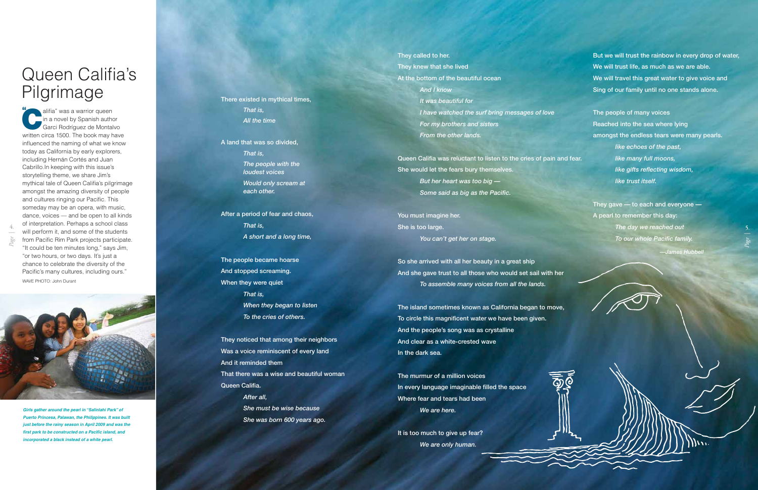*That is, All the time*

A land that was so divided, *That is, The people with the loudest voices Would only scream at each other.* 

After a period of fear and chaos, *That is, A short and a long time,*

The people became hoarse And stopped screaming. When they were quiet *That is, When they began to listen To the cries of others.*

They noticed that among their neighbors Was a voice reminiscent of every land And it reminded them That there was a wise and beautiful woman Queen Califia. *After all, She must be wise because She was born 600 years ago.*

# Queen Califia's Pilgrimage There existed in mythical times,

alifia" was a warrior queen in a novel by Spanish author Garci Rodríguez de Montalvo written circa 1500. The book may have influenced the naming of what we know today as California by early explorers, including Hernán Cortés and Juan Cabrillo.In keeping with this issue's storytelling theme, we share Jim's mythical tale of Queen Califia's pilgrimage amongst the amazing diversity of people and cultures ringing our Pacific. This someday may be an opera, with music, dance, voices — and be open to all kinds of interpretation. Perhaps a school class will perform it, and some of the students from Pacific Rim Park projects participate. "It could be ten minutes long," says Jim, "or two hours, or two days. It's just a chance to celebrate the diversity of the Pacific's many cultures, including ours." "

It is too much to give up fear? *We are only human.*

WAVE PHOTO: John Durant

*Girls gather around the pearl in "Salinlahi Park" of Puerto Princesa, Palawan, the Philippines. It was built just before the rainy season in April 2009 and was the first park to be constructed on a Pacific island, and incorporated a black instead of a white pearl.*

*Page |*

**4.**

They called to her. They knew that she lived At the bottom of the beautiful ocean *And I know It was beautiful for I have watched the surf bring messages of love For my brothers and sisters From the other lands.*

Queen Califia was reluctant to listen to the cries of pain and fear. She would let the fears bury themselves. *But her heart was too big — Some said as big as the Pacific.*

You must imagine her. She is too large. *You can't get her on stage.*

So she arrived with all her beauty in a great ship And she gave trust to all those who would set sail with her *To assemble many voices from all the lands.*

The island sometimes known as California began to move, To circle this magnificent water we have been given. And the people's song was as crystalline And clear as a white-crested wave In the dark sea.

The murmur of a million voices In every language imaginable filled the space Where fear and tears had been *We are here.*

But we will trust the rainbow in every drop of water, We will trust life, as much as we are able. We will travel this great water to give voice and Sing of our family until no one stands alone.

The people of many voices Reached into the sea where lying amongst the endless tears were many pearls. *like echoes of the past, like many full moons, like gifts reflecting wisdom, like trust itself.*

They gave — to each and everyone — A pearl to remember this day: *The day we reached out To our whole Pacific family. —James Hubbell*

*Page |*

**5.**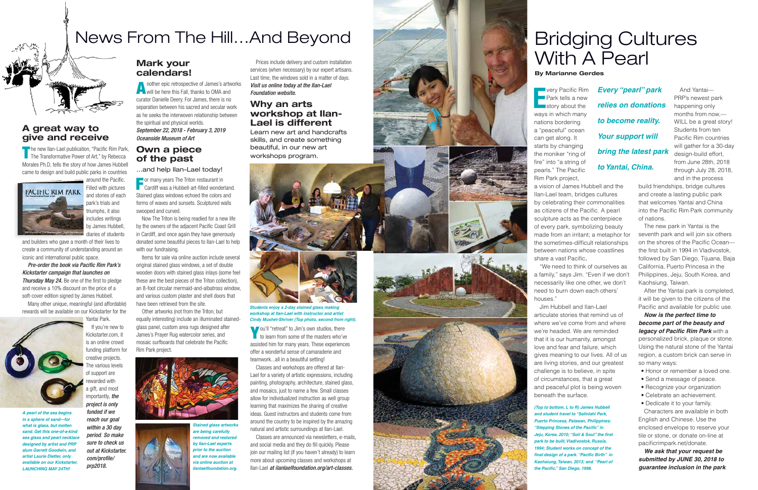**E**

**very Pacific Rim** Park tells a new story about the ways in which many nations bordering a "peaceful" ocean can get along. It starts by changing the moniker "ring of fire" into "a string of pearls." The Pacific Rim Park project, a vision of James Hubbell and the Ilan-Lael team, bridges cultures by celebrating their commonalities as citizens of the Pacific. A pearl sculpture acts as the centerpiece of every park, symbolizing beauty made from an irritant; a metaphor for the sometimes-difficult relationships between nations whose coastlines share a vast Pacific .

"We need to think of ourselves as a family," says Jim. "Even if we don't necessarily like one other, we don't need to burn down each others'

houses."

Jim Hubbell and Ilan-Lael articulate stories that remind us of where we've come from and where we're headed. We are reminded that it is our humanity, amongst love and fear and failure, which gives meaning to our lives. All of us are living stories, and our greatest challenge is to believe, in spite of circumstances, that a great and peaceful plot is being woven beneath the surface.

And Yantai— PRP's newest park happening only months from now,— WILL be a great story! Students from ten Pacific Rim countries will gather for a 30-day design-build effort, from June 28th, 2018 through July 28, 2018, and in the process

build friendships, bridge cultures and create a lasting public park that welcomes Yantai and China into the Pacific Rim Park community of nations.

The new park in Yantai is the seventh park and will join six others on the shores of the Pacific Ocean the first built in 1994 in Vladivostok, followed by San Diego, Tijuana, Baja California, Puerto Princesa in the Philippines, Jeju, South Korea, and Kaohsiung, Taiwan.

The new Ilan-Lael publication, "Pacific Rim Park, The Transformative Power of Art," by Rebecca Morales Ph.D, tells the story of how James Hubbell came to design and build public parks in countries

> $\equiv$  around the Pacific. Filled with pictures and stories of each park's trials and triumphs, it also includes writings by James Hubbell, diaries of students

> > After the Yantai park is completed, it will be given to the citizens of the Pacific and available for public use.

> > *Now is the perfect time to become part of the beauty and legacy of Pacific Rim Park* with a personalized brick, plaque or stone. Using the natural stone of the Yantai region, a custom brick can serve in so many ways:

- Honor or remember a loved one.
- Send a message of peace.
- Recognize your organization
- Celebrate an achievement.
- Dedicate it to your family.

nother epic retrospective of James's artworks will be here this Fall, thanks to OMA and curator Danielle Deery. For James, there is no separation between his sacred and secular work as he seeks the interwoven relationship between the spiritual and physical worlds. *September 22, 2018 - February 3, 2019 Oceanside Museum of Art*

> Characters are available in both English and Chinese. Use the enclosed envelope to reserve your tile or stone, or donate on-line at pacificrimpark.net/donate.

For many years The Triton restaurant in **Cardiff was a Hubbell-art-filled wonderland.** Stained glass windows echoed the colors and forms of waves and sunsets. Sculptured walls swooped and curved.

> *We ask that your request be submitted by JUNE 30, 2018 to guarantee inclusion in the park*.

# Bridging Cultures With A Pearl

*(Top to bottom, L to R) James Hubbell and student travel to "Salinlahi Park, Puerto Princesa, Palawan, Philippines; "Stepping Stones of the Pacific" in Jeju, Korea, 2010; "Soil & Soul" the first park to be built, Vladivostok, Russia, 1994; Student works on concept of the final design of a park. "Pacific Birth" in Kaohsiung, Taiwan, 2013; and "Pearl of the Pacific," San Diego, 1998.*

**By Marianne Gerdes**

*Every "pearl" park relies on donations to become reality. Your support will bring the latest park to Yantai, China.*

# News From The Hill…And Beyond

**A great way to give and receive**

PACIFIC RIM PARK

and builders who gave a month of their lives to create a community of understanding around an

iconic and international public space.

*Pre-order the book via Pacific Rim Park's Kickstarter campaign that launches on*  **Thursday May 24.** Be one of the first to pledge and receive a 10% discount on the price of a soft-cover edition signed by James Hubbell. Many other unique, meaningful (and affordable) rewards will be available on our Kickstarter for the



*reach our goal within a 30 day period*. *So make sure to check us out at Kickstarter. com/profile/ prp2018.* 

#### **Mark your calendars!**

#### **Own a piece of the past**

...and help Ilan-Lael today!

Now The Triton is being readied for a new life by the owners of the adjacent Pacific Coast Grill in Cardiff, and once again they have generously donated some beautiful pieces to Ilan-Lael to help with our fundraising.

Items for sale via online auction include several original stained glass windows, a set of double wooden doors with stained glass inlays (some feel these are the best pieces of the Triton collection), an 8-foot circular mermaid-and-albatross window, and various custom plaster and shell doors that have been retrieved from the site.

Other artworks (not from the Triton, but equally interesting) include an illuminated stainedglass panel, custom area rugs designed after James's Prayer Rug watercolor series, and mosaic surfboards that celebrate the Pacific Rim Park project.

Prices include delivery and custom installation services (when necessary) by our expert artisans. Last time, the windows sold in a matter of days. *Visit us online today at the Ilan-Lael Foundation website.*

#### **Why an arts workshop at Ilan-Lael is different**

Learn new art and handcrafts skills, and create something beautiful, in our new art workshops program.

You'll "retreat" to Jim's own studios, there to learn from some of the masters who've assisted him for many years. These experiences offer a wonderful sense of camaraderie and teamwork...all in a beautiful setting!

Classes and workshops are offered at Ilan-Lael for a variety of artistic expressions, including painting, photography, architecture, stained glass, and mosaics, just to name a few. Small classes allow for individualized instruction as well group learning that maximizes the sharing of creative ideas. Guest instructors and students come from around the country to be inspired by the amazing natural and artistic surroundings at Ilan-Lael.

Classes are announced via newsletters, e-mails, and social media and they do fill quickly. Please join our mailing list (if you haven't already) to learn more about upcoming classes and workshops at Ilan-Lael *at ilanlaelfoundation.org/art-classes.*











*are being carefully removed and restored by Ilan-Lael experts prior to the auction and are now available via online auction at ilanlaelfoundation.org.*



*Students enjoy a 2-day stained glass making workshop at Ilan-Lael with instructor and artist Cindy Mushet-Shriver (Top photo, second from right).* 

*A pearl of the sea begins in a sphere of sand—for what is glass, but molten sand. Get this one-of-a-kind sea glass and pearl necklace designed by artist and PRP alum Garrett Goodwin, and artist Laurie Dietter, only available on our Kickstarter, LAUNCHING MAY 24TH!*